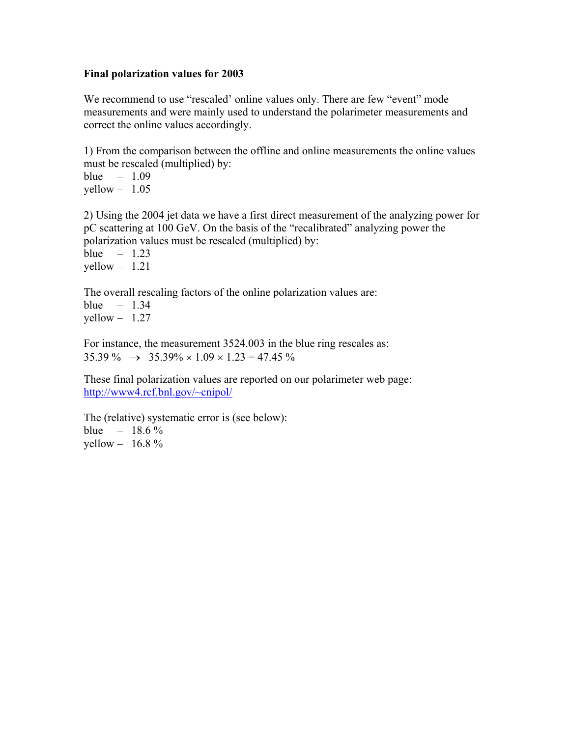#### **Final polarization values for 2003**

We recommend to use "rescaled' online values only. There are few "event" mode measurements and were mainly used to understand the polarimeter measurements and correct the online values accordingly.

1) From the comparison between the offline and online measurements the online values must be rescaled (multiplied) by:

blue  $-1.09$  $yellow - 1.05$ 

2) Using the 2004 jet data we have a first direct measurement of the analyzing power for pC scattering at 100 GeV. On the basis of the "recalibrated" analyzing power the polarization values must be rescaled (multiplied) by:

blue  $-1.23$  $yellow - 1.21$ 

The overall rescaling factors of the online polarization values are: blue  $-1.34$  $yellow - 1.27$ 

For instance, the measurement 3524.003 in the blue ring rescales as:  $35.39\% \rightarrow 35.39\% \times 1.09 \times 1.23 = 47.45\%$ 

These final polarization values are reported on our polarimeter web page: <http://www4.rcf.bnl.gov/~cnipol/>

The (relative) systematic error is (see below): blue –  $18.6\%$ yellow  $- 16.8 \%$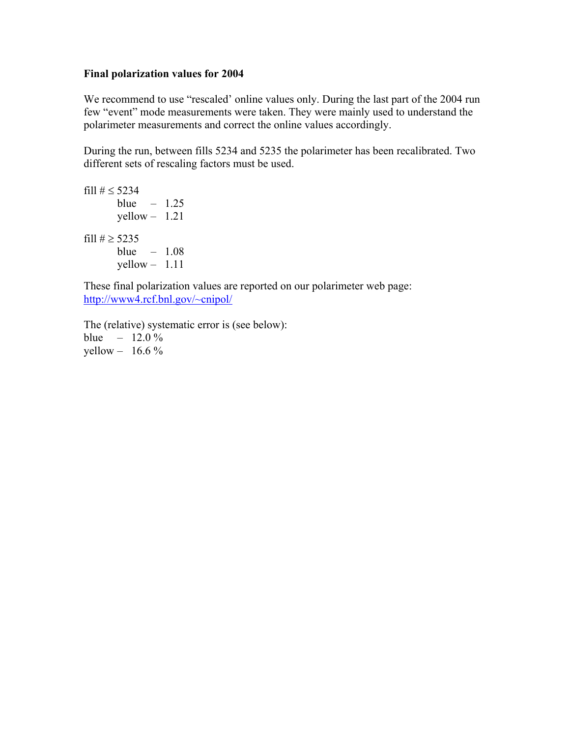### **Final polarization values for 2004**

We recommend to use "rescaled' online values only. During the last part of the 2004 run few "event" mode measurements were taken. They were mainly used to understand the polarimeter measurements and correct the online values accordingly.

During the run, between fills 5234 and 5235 the polarimeter has been recalibrated. Two different sets of rescaling factors must be used.

fill # ≤ 5234 blue – 1.25 yellow – 1.21 fill # ≥ 5235 blue – 1.08 yellow – 1.11

These final polarization values are reported on our polarimeter web page: <http://www4.rcf.bnl.gov/~cnipol/>

The (relative) systematic error is (see below): blue –  $12.0\%$ yellow  $-16.6\%$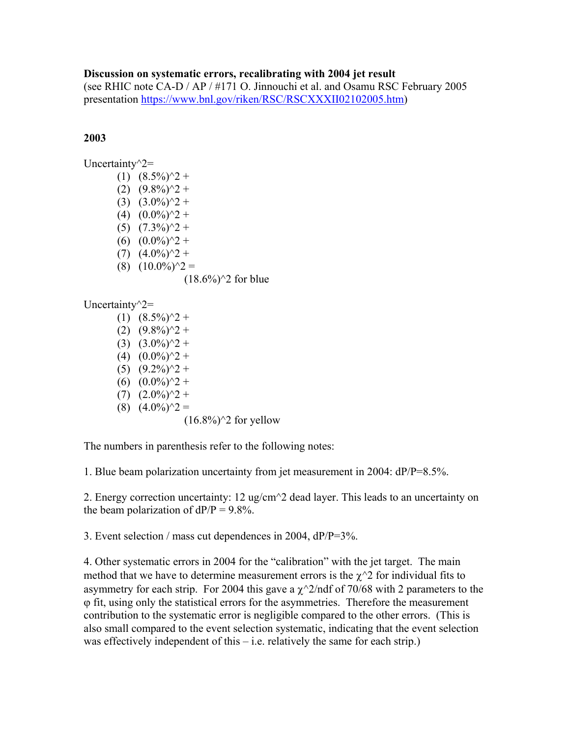### **Discussion on systematic errors, recalibrating with 2004 jet result**

(see RHIC note CA-D / AP / #171 O. Jinnouchi et al. and Osamu RSC February 2005 presentation [https://www.bnl.gov/riken/RSC/RSCXXXII02102005.htm\)](https://www.bnl.gov/riken/RSC/RSCXXXII02102005.htm)

# **2003**

| Uncertainty $\gamma$ 2= |                                  |
|-------------------------|----------------------------------|
|                         | $(1)$ $(8.5\%)$ <sup>2</sup> +   |
|                         | $(2)$ $(9.8\%)$ <sup>2</sup> +   |
|                         | $(3)$ $(3.0\%)$ <sup>2</sup> +   |
|                         | $(4)$ $(0.0\%)^2 +$              |
|                         | $(5)$ $(7.3\%)$ <sup>2</sup> +   |
|                         | $(6)$ $(0.0\%)^2 +$              |
|                         | $(7)$ $(4.0\%)$ <sup>2</sup> +   |
|                         | $(8)$ $(10.0\%)$ <sup>2</sup> =  |
|                         | $(18.6\%)$ <sup>2</sup> for blue |
| Uncertainty $\gamma$ 2= |                                  |
|                         | $(1)$ $(8.5\%)$ <sup>2</sup> +   |
|                         | $(2)$ $(9.8\%)$ <sup>2</sup> +   |

 $(3)$   $(3.0\%)$ <sup>2</sup> +  $(4)$   $(0.0\%)^2 +$  $(5)$   $(9.2\%)$ <sup>2</sup> + (6)  $(0.0\%)^2$  +  $(7)$   $(2.0\%)$ <sup>2</sup> + (8)  $(4.0\%)$   $\hat{ }2 =$ 

The numbers in parenthesis refer to the following notes:

 $(16.8\%)$ <sup>2</sup> for yellow

1. Blue beam polarization uncertainty from jet measurement in 2004: dP/P=8.5%.

2. Energy correction uncertainty: 12 ug/cm^2 dead layer. This leads to an uncertainty on the beam polarization of  $dP/P = 9.8\%$ .

3. Event selection / mass cut dependences in 2004, dP/P=3%.

4. Other systematic errors in 2004 for the "calibration" with the jet target. The main method that we have to determine measurement errors is the  $\chi^2$  for individual fits to asymmetry for each strip. For 2004 this gave a  $\chi$ <sup> $\sim$ </sup> $2$ /ndf of 70/68 with 2 parameters to the ϕ fit, using only the statistical errors for the asymmetries. Therefore the measurement contribution to the systematic error is negligible compared to the other errors. (This is also small compared to the event selection systematic, indicating that the event selection was effectively independent of this  $-$  i.e. relatively the same for each strip.)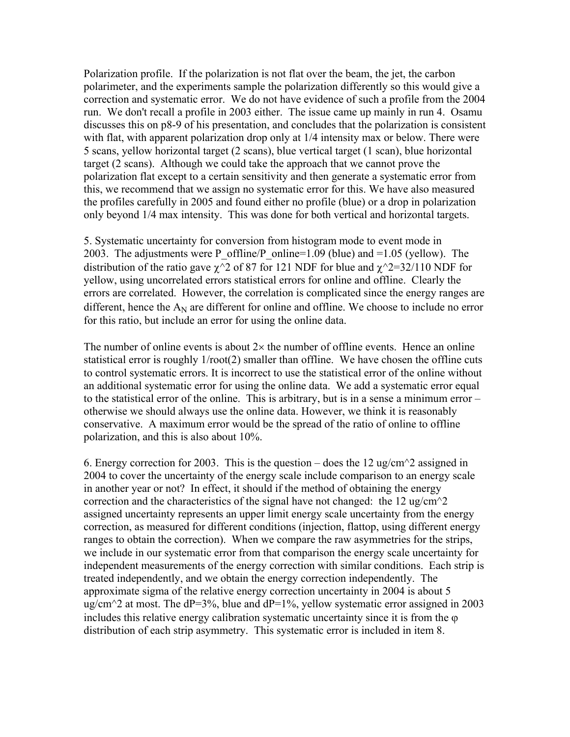Polarization profile. If the polarization is not flat over the beam, the jet, the carbon polarimeter, and the experiments sample the polarization differently so this would give a correction and systematic error. We do not have evidence of such a profile from the 2004 run. We don't recall a profile in 2003 either. The issue came up mainly in run 4. Osamu discusses this on p8-9 of his presentation, and concludes that the polarization is consistent with flat, with apparent polarization drop only at  $1/4$  intensity max or below. There were 5 scans, yellow horizontal target (2 scans), blue vertical target (1 scan), blue horizontal target (2 scans). Although we could take the approach that we cannot prove the polarization flat except to a certain sensitivity and then generate a systematic error from this, we recommend that we assign no systematic error for this. We have also measured the profiles carefully in 2005 and found either no profile (blue) or a drop in polarization only beyond 1/4 max intensity. This was done for both vertical and horizontal targets.

5. Systematic uncertainty for conversion from histogram mode to event mode in 2003. The adjustments were P\_offline/P\_online=1.09 (blue) and =1.05 (yellow). The distribution of the ratio gave  $\gamma$ <sup>2</sup> of 87 for 121 NDF for blue and  $\gamma$ <sup>2=32/110</sup> NDF for yellow, using uncorrelated errors statistical errors for online and offline. Clearly the errors are correlated. However, the correlation is complicated since the energy ranges are different, hence the  $A_N$  are different for online and offline. We choose to include no error for this ratio, but include an error for using the online data.

The number of online events is about  $2\times$  the number of offline events. Hence an online statistical error is roughly 1/root(2) smaller than offline. We have chosen the offline cuts to control systematic errors. It is incorrect to use the statistical error of the online without an additional systematic error for using the online data. We add a systematic error equal to the statistical error of the online. This is arbitrary, but is in a sense a minimum error – otherwise we should always use the online data. However, we think it is reasonably conservative. A maximum error would be the spread of the ratio of online to offline polarization, and this is also about 10%.

6. Energy correction for 2003. This is the question – does the 12 ug/cm<sup> $\gamma$ </sup> assigned in 2004 to cover the uncertainty of the energy scale include comparison to an energy scale in another year or not? In effect, it should if the method of obtaining the energy correction and the characteristics of the signal have not changed: the 12 ug/cm $\gamma$ 2 assigned uncertainty represents an upper limit energy scale uncertainty from the energy correction, as measured for different conditions (injection, flattop, using different energy ranges to obtain the correction). When we compare the raw asymmetries for the strips, we include in our systematic error from that comparison the energy scale uncertainty for independent measurements of the energy correction with similar conditions. Each strip is treated independently, and we obtain the energy correction independently. The approximate sigma of the relative energy correction uncertainty in 2004 is about 5 ug/cm<sup> $\sim$ </sup>2 at most. The dP=3%, blue and dP=1%, yellow systematic error assigned in 2003 includes this relative energy calibration systematic uncertainty since it is from the ϕ distribution of each strip asymmetry. This systematic error is included in item 8.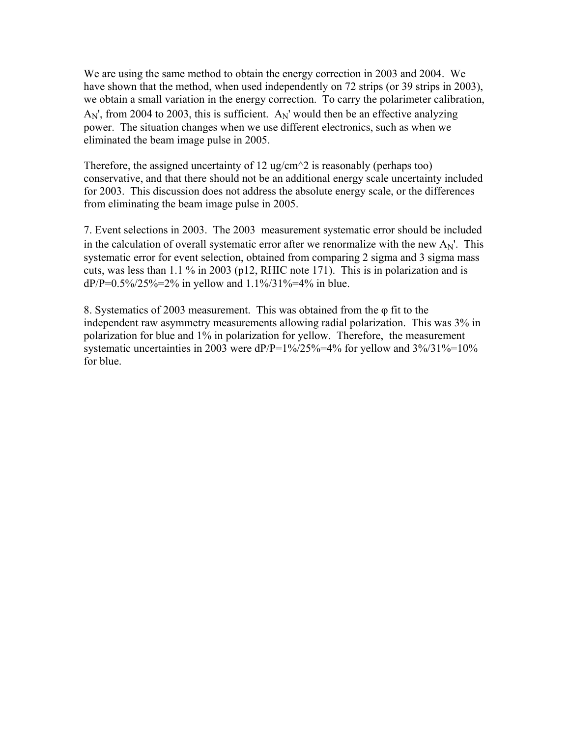We are using the same method to obtain the energy correction in 2003 and 2004. We have shown that the method, when used independently on 72 strips (or 39 strips in 2003), we obtain a small variation in the energy correction. To carry the polarimeter calibration,  $A_N$ ', from 2004 to 2003, this is sufficient.  $A_N$ ' would then be an effective analyzing power. The situation changes when we use different electronics, such as when we eliminated the beam image pulse in 2005.

Therefore, the assigned uncertainty of 12 ug/cm<sup> $\land$ </sup>2 is reasonably (perhaps too) conservative, and that there should not be an additional energy scale uncertainty included for 2003. This discussion does not address the absolute energy scale, or the differences from eliminating the beam image pulse in 2005.

7. Event selections in 2003. The 2003 measurement systematic error should be included in the calculation of overall systematic error after we renormalize with the new  $A_N$ . This systematic error for event selection, obtained from comparing 2 sigma and 3 sigma mass cuts, was less than 1.1 % in 2003 (p12, RHIC note 171). This is in polarization and is dP/P= $0.5\frac{\frac{1}{25}}{\frac{1}{25}}$  in yellow and  $1.1\frac{\frac{1}{25}}{31\frac{\frac{1}{25}}{40}}$  in blue.

8. Systematics of 2003 measurement. This was obtained from the φ fit to the independent raw asymmetry measurements allowing radial polarization. This was 3% in polarization for blue and 1% in polarization for yellow. Therefore, the measurement systematic uncertainties in 2003 were  $dP/P=1\%/25\%-4\%$  for yellow and  $3\%/31\%-10\%$ for blue.